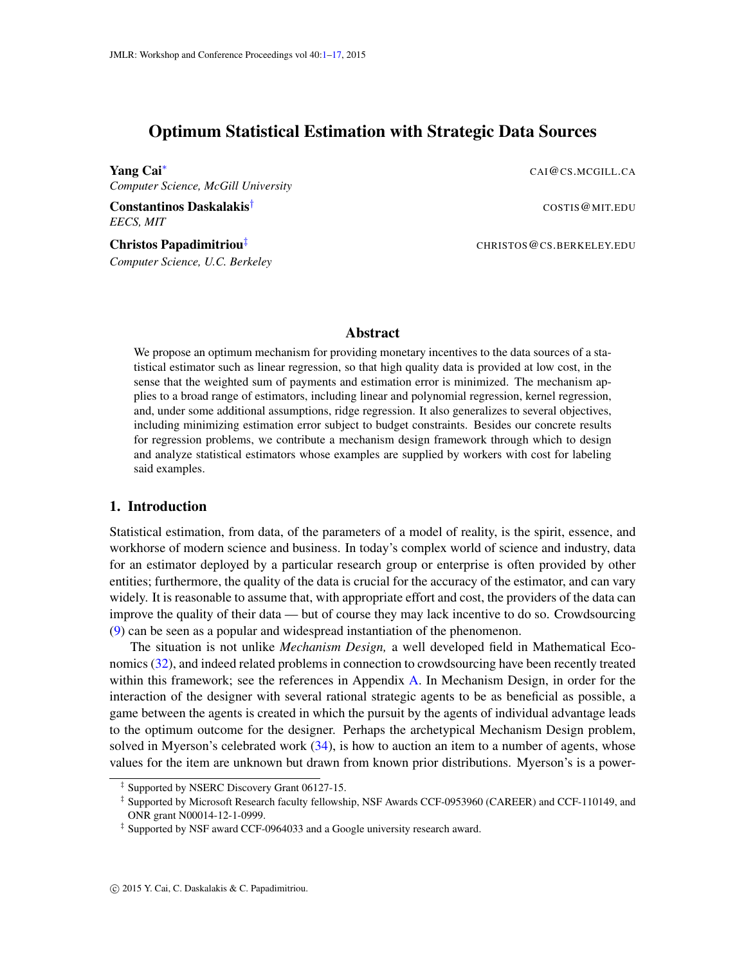# <span id="page-0-0"></span>Optimum Statistical Estimation with Strategic Data Sources

**Yang Cai**<sup>∗</sup> CAI@CS.MCGILL.CA *Computer Science, McGill University*

**Constantinos Daskalakis<sup>†</sup>** Constantinos Daskalakis<sup>†</sup> *EECS, MIT*

Christos Papadimitriou[‡](#page-0-1) CHRISTOS@CS.BERKELEY.EDU

*Computer Science, U.C. Berkeley*

#### Abstract

We propose an optimum mechanism for providing monetary incentives to the data sources of a statistical estimator such as linear regression, so that high quality data is provided at low cost, in the sense that the weighted sum of payments and estimation error is minimized. The mechanism applies to a broad range of estimators, including linear and polynomial regression, kernel regression, and, under some additional assumptions, ridge regression. It also generalizes to several objectives, including minimizing estimation error subject to budget constraints. Besides our concrete results for regression problems, we contribute a mechanism design framework through which to design and analyze statistical estimators whose examples are supplied by workers with cost for labeling said examples.

## 1. Introduction

Statistical estimation, from data, of the parameters of a model of reality, is the spirit, essence, and workhorse of modern science and business. In today's complex world of science and industry, data for an estimator deployed by a particular research group or enterprise is often provided by other entities; furthermore, the quality of the data is crucial for the accuracy of the estimator, and can vary widely. It is reasonable to assume that, with appropriate effort and cost, the providers of the data can improve the quality of their data — but of course they may lack incentive to do so. Crowdsourcing [\(9\)](#page-12-0) can be seen as a popular and widespread instantiation of the phenomenon.

The situation is not unlike *Mechanism Design,* a well developed field in Mathematical Economics [\(32\)](#page-13-0), and indeed related problems in connection to crowdsourcing have been recently treated within this framework; see the references in Appendix [A.](#page-14-0) In Mechanism Design, in order for the interaction of the designer with several rational strategic agents to be as beneficial as possible, a game between the agents is created in which the pursuit by the agents of individual advantage leads to the optimum outcome for the designer. Perhaps the archetypical Mechanism Design problem, solved in Myerson's celebrated work [\(34\)](#page-13-1), is how to auction an item to a number of agents, whose values for the item are unknown but drawn from known prior distributions. Myerson's is a power-

<span id="page-0-1"></span><sup>‡</sup> Supported by NSERC Discovery Grant 06127-15.

<sup>‡</sup> Supported by Microsoft Research faculty fellowship, NSF Awards CCF-0953960 (CAREER) and CCF-110149, and ONR grant N00014-12-1-0999.

<sup>‡</sup> Supported by NSF award CCF-0964033 and a Google university research award.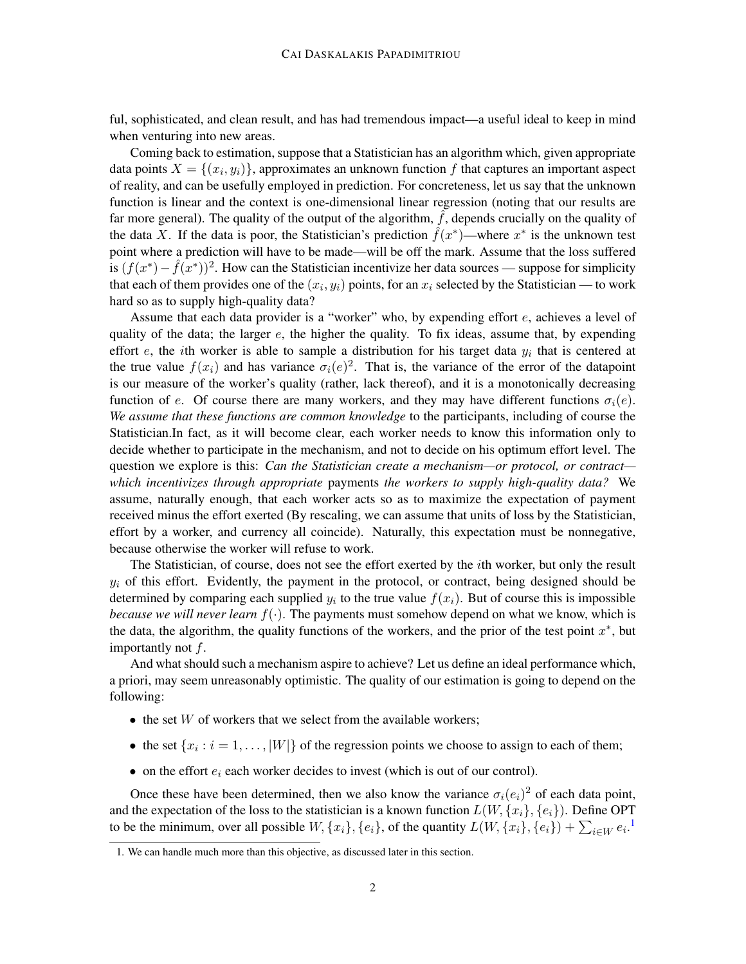ful, sophisticated, and clean result, and has had tremendous impact—a useful ideal to keep in mind when venturing into new areas.

Coming back to estimation, suppose that a Statistician has an algorithm which, given appropriate data points  $X = \{(x_i, y_i)\}\$ , approximates an unknown function f that captures an important aspect of reality, and can be usefully employed in prediction. For concreteness, let us say that the unknown function is linear and the context is one-dimensional linear regression (noting that our results are far more general). The quality of the output of the algorithm,  $\hat{f}$ , depends crucially on the quality of the data X. If the data is poor, the Statistician's prediction  $\hat{f}(x^*)$ —where  $x^*$  is the unknown test point where a prediction will have to be made—will be off the mark. Assume that the loss suffered is  $(f(x^*) - \hat{f}(x^*))^2$ . How can the Statistician incentivize her data sources — suppose for simplicity that each of them provides one of the  $(x_i, y_i)$  points, for an  $x_i$  selected by the Statistician — to work hard so as to supply high-quality data?

Assume that each data provider is a "worker" who, by expending effort e, achieves a level of quality of the data; the larger  $e$ , the higher the quality. To fix ideas, assume that, by expending effort e, the *i*th worker is able to sample a distribution for his target data  $y_i$  that is centered at the true value  $f(x_i)$  and has variance  $\sigma_i(e)^2$ . That is, the variance of the error of the datapoint is our measure of the worker's quality (rather, lack thereof), and it is a monotonically decreasing function of e. Of course there are many workers, and they may have different functions  $\sigma_i(e)$ . *We assume that these functions are common knowledge* to the participants, including of course the Statistician.In fact, as it will become clear, each worker needs to know this information only to decide whether to participate in the mechanism, and not to decide on his optimum effort level. The question we explore is this: *Can the Statistician create a mechanism—or protocol, or contract which incentivizes through appropriate* payments *the workers to supply high-quality data?* We assume, naturally enough, that each worker acts so as to maximize the expectation of payment received minus the effort exerted (By rescaling, we can assume that units of loss by the Statistician, effort by a worker, and currency all coincide). Naturally, this expectation must be nonnegative, because otherwise the worker will refuse to work.

The Statistician, of course, does not see the effort exerted by the ith worker, but only the result  $y_i$  of this effort. Evidently, the payment in the protocol, or contract, being designed should be determined by comparing each supplied  $y_i$  to the true value  $f(x_i)$ . But of course this is impossible *because we will never learn*  $f(\cdot)$ . The payments must somehow depend on what we know, which is the data, the algorithm, the quality functions of the workers, and the prior of the test point  $x^*$ , but importantly not  $f$ .

And what should such a mechanism aspire to achieve? Let us define an ideal performance which, a priori, may seem unreasonably optimistic. The quality of our estimation is going to depend on the following:

- $\bullet$  the set W of workers that we select from the available workers;
- the set  $\{x_i : i = 1, \ldots, |W|\}$  of the regression points we choose to assign to each of them;
- on the effort  $e_i$  each worker decides to invest (which is out of our control).

Once these have been determined, then we also know the variance  $\sigma_i(e_i)^2$  of each data point, and the expectation of the loss to the statistician is a known function  $L(W, \{x_i\}, \{e_i\})$ . Define OPT to be the minimum, over all possible  $W, \{x_i\}, \{e_i\}$ , of the quantity  $L(W, \{x_i\}, \{e_i\}) + \sum_{i \in W} e_i$ .<sup>[1](#page-1-0)</sup>

<span id="page-1-0"></span><sup>1.</sup> We can handle much more than this objective, as discussed later in this section.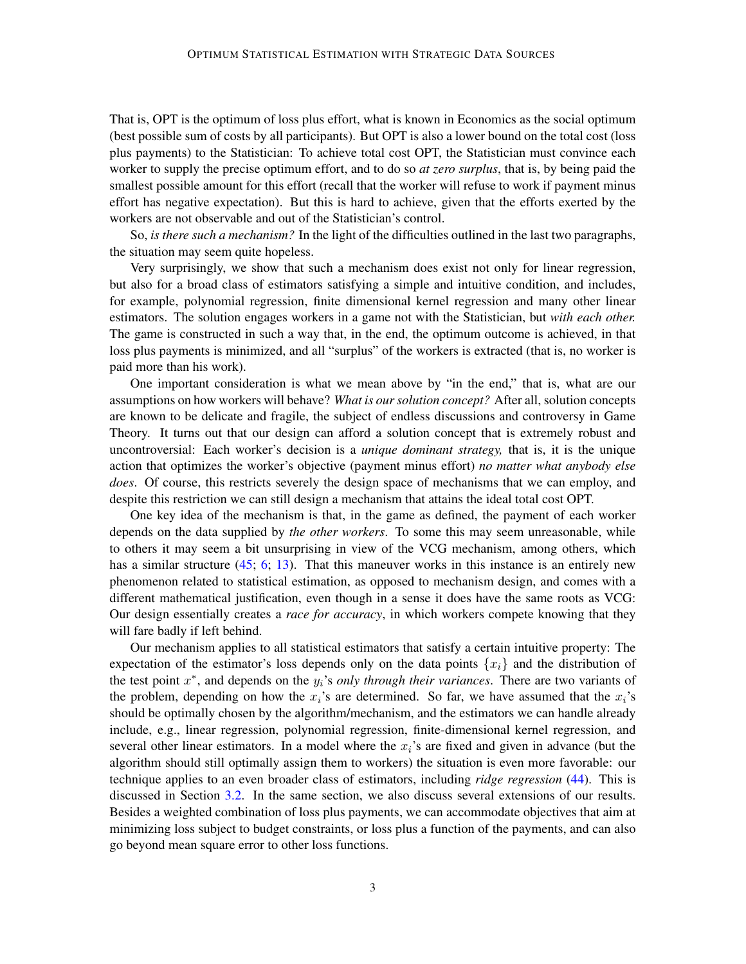That is, OPT is the optimum of loss plus effort, what is known in Economics as the social optimum (best possible sum of costs by all participants). But OPT is also a lower bound on the total cost (loss plus payments) to the Statistician: To achieve total cost OPT, the Statistician must convince each worker to supply the precise optimum effort, and to do so *at zero surplus*, that is, by being paid the smallest possible amount for this effort (recall that the worker will refuse to work if payment minus effort has negative expectation). But this is hard to achieve, given that the efforts exerted by the workers are not observable and out of the Statistician's control.

So, *is there such a mechanism?* In the light of the difficulties outlined in the last two paragraphs, the situation may seem quite hopeless.

Very surprisingly, we show that such a mechanism does exist not only for linear regression, but also for a broad class of estimators satisfying a simple and intuitive condition, and includes, for example, polynomial regression, finite dimensional kernel regression and many other linear estimators. The solution engages workers in a game not with the Statistician, but *with each other.* The game is constructed in such a way that, in the end, the optimum outcome is achieved, in that loss plus payments is minimized, and all "surplus" of the workers is extracted (that is, no worker is paid more than his work).

One important consideration is what we mean above by "in the end," that is, what are our assumptions on how workers will behave? *What is our solution concept?* After all, solution concepts are known to be delicate and fragile, the subject of endless discussions and controversy in Game Theory. It turns out that our design can afford a solution concept that is extremely robust and uncontroversial: Each worker's decision is a *unique dominant strategy,* that is, it is the unique action that optimizes the worker's objective (payment minus effort) *no matter what anybody else does*. Of course, this restricts severely the design space of mechanisms that we can employ, and despite this restriction we can still design a mechanism that attains the ideal total cost OPT.

One key idea of the mechanism is that, in the game as defined, the payment of each worker depends on the data supplied by *the other workers*. To some this may seem unreasonable, while to others it may seem a bit unsurprising in view of the VCG mechanism, among others, which has a similar structure [\(45;](#page-14-1) [6;](#page-12-1) [13\)](#page-12-2). That this maneuver works in this instance is an entirely new phenomenon related to statistical estimation, as opposed to mechanism design, and comes with a different mathematical justification, even though in a sense it does have the same roots as VCG: Our design essentially creates a *race for accuracy*, in which workers compete knowing that they will fare badly if left behind.

Our mechanism applies to all statistical estimators that satisfy a certain intuitive property: The expectation of the estimator's loss depends only on the data points  $\{x_i\}$  and the distribution of the test point  $x^*$ , and depends on the  $y_i$ 's *only through their variances*. There are two variants of the problem, depending on how the  $x_i$ 's are determined. So far, we have assumed that the  $x_i$ 's should be optimally chosen by the algorithm/mechanism, and the estimators we can handle already include, e.g., linear regression, polynomial regression, finite-dimensional kernel regression, and several other linear estimators. In a model where the  $x_i$ 's are fixed and given in advance (but the algorithm should still optimally assign them to workers) the situation is even more favorable: our technique applies to an even broader class of estimators, including *ridge regression* [\(44\)](#page-14-2). This is discussed in Section [3.2.](#page-10-0) In the same section, we also discuss several extensions of our results. Besides a weighted combination of loss plus payments, we can accommodate objectives that aim at minimizing loss subject to budget constraints, or loss plus a function of the payments, and can also go beyond mean square error to other loss functions.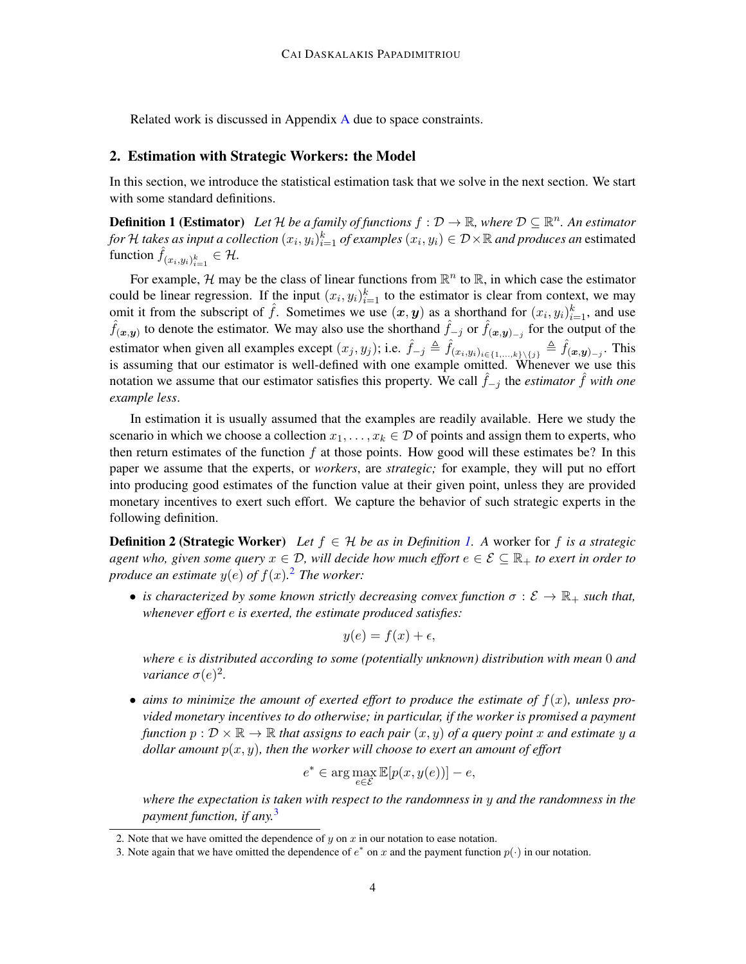Related work is discussed in Appendix [A](#page-14-0) due to space constraints.

## 2. Estimation with Strategic Workers: the Model

In this section, we introduce the statistical estimation task that we solve in the next section. We start with some standard definitions.

<span id="page-3-0"></span>**Definition 1 (Estimator)** Let H be a family of functions  $f : \mathcal{D} \to \mathbb{R}$ , where  $\mathcal{D} \subseteq \mathbb{R}^n$ . An estimator *for H takes as input a collection*  $(x_i, y_i)_{i=1}^k$  *of examples*  $(x_i, y_i) \in \mathcal{D} \times \mathbb{R}$  *and produces an* estimated function  $\hat{f}_{(x_i,y_i)_{i=1}^k} \in \mathcal{H}$ .

For example, H may be the class of linear functions from  $\mathbb{R}^n$  to  $\mathbb{R}$ , in which case the estimator could be linear regression. If the input  $(x_i, y_i)_{i=1}^k$  to the estimator is clear from context, we may omit it from the subscript of  $\hat{f}$ . Sometimes we use  $(x, y)$  as a shorthand for  $(x_i, y_i)_{i=1}^k$ , and use  $\hat{f}(x,y)$  to denote the estimator. We may also use the shorthand  $\hat{f}_{-j}$  or  $\hat{f}(x,y)_{-j}$  for the output of the estimator when given all examples except  $(x_j, y_j)$ ; i.e.  $\hat{f}_{-j} \triangleq \hat{f}_{(x_i, y_i)_{i \in \{1, ..., k\}\setminus\{j\}}} \triangleq \hat{f}_{(\bm{x}, \bm{y})_{-j}}$ . This is assuming that our estimator is well-defined with one example omitted. Whenever we use this notation we assume that our estimator satisfies this property. We call  $\hat{f}_{-i}$  the *estimator*  $\hat{f}$  *with one example less*.

In estimation it is usually assumed that the examples are readily available. Here we study the scenario in which we choose a collection  $x_1, \ldots, x_k \in \mathcal{D}$  of points and assign them to experts, who then return estimates of the function  $f$  at those points. How good will these estimates be? In this paper we assume that the experts, or *workers*, are *strategic;* for example, they will put no effort into producing good estimates of the function value at their given point, unless they are provided monetary incentives to exert such effort. We capture the behavior of such strategic experts in the following definition.

<span id="page-3-3"></span>**Definition 2 (Strategic Worker)** *Let*  $f \in H$  *be as in Definition [1.](#page-3-0) A worker for f is a strategic agent who, given some query*  $x \in \mathcal{D}$ , will decide how much effort  $e \in \mathcal{E} \subseteq \mathbb{R}_+$  to exert in order to *produce an estimate*  $y(e)$  *of*  $f(x)$ .<sup>[2](#page-3-1)</sup> *The worker:* 

• *is characterized by some known strictly decreasing convex function*  $\sigma : \mathcal{E} \to \mathbb{R}_+$  *such that, whenever effort* e *is exerted, the estimate produced satisfies:*

$$
y(e) = f(x) + \epsilon,
$$

*where*  $\epsilon$  *is distributed according to some (potentially unknown) distribution with mean* 0 *and variance*  $\sigma(e)^2$ .

• aims to minimize the amount of exerted effort to produce the estimate of  $f(x)$ , unless pro*vided monetary incentives to do otherwise; in particular, if the worker is promised a payment function*  $p: \mathcal{D} \times \mathbb{R} \to \mathbb{R}$  *that assigns to each pair*  $(x, y)$  *of a query point* x *and estimate* y *a dollar amount* p(x, y)*, then the worker will choose to exert an amount of effort*

$$
e^* \in \arg\max_{e \in \mathcal{E}} \mathbb{E}[p(x, y(e))] - e,
$$

*where the expectation is taken with respect to the randomness in* y *and the randomness in the payment function, if any.*[3](#page-3-2)

<span id="page-3-1"></span><sup>2.</sup> Note that we have omitted the dependence of  $y$  on  $x$  in our notation to ease notation.

<span id="page-3-2"></span><sup>3.</sup> Note again that we have omitted the dependence of  $e^*$  on x and the payment function  $p(\cdot)$  in our notation.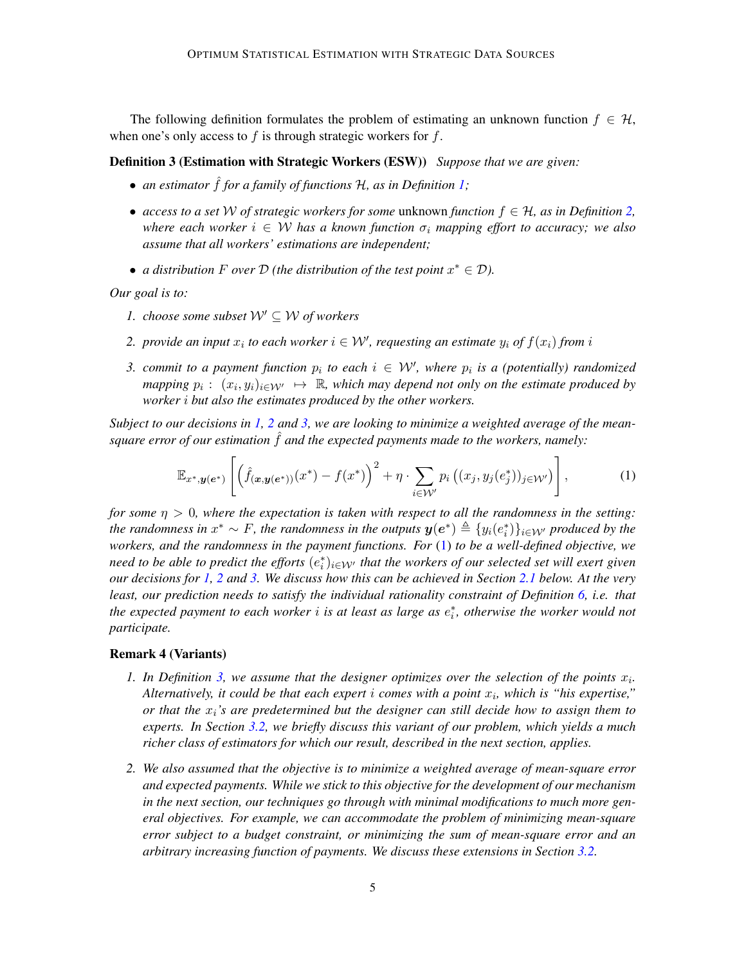The following definition formulates the problem of estimating an unknown function  $f \in \mathcal{H}$ , when one's only access to  $f$  is through strategic workers for  $f$ .

<span id="page-4-4"></span>Definition 3 (Estimation with Strategic Workers (ESW)) *Suppose that we are given:*

- *an estimator* f for a family of functions H, as in Definition [1;](#page-3-0)
- *access to a set* W *of strategic workers for some* unknown *function* f ∈ H*, as in Definition [2,](#page-3-3) where each worker*  $i \in W$  *has a known function*  $\sigma_i$  *mapping effort to accuracy; we also assume that all workers' estimations are independent;*
- *a distribution*  $F$  *over*  $D$  *(the distribution of the test point*  $x^* \in D$ *).*

<span id="page-4-0"></span>*Our goal is to:*

- *1. choose some subset*  $W' \subseteq W$  *of workers*
- <span id="page-4-1"></span>2. *provide an input*  $x_i$  to each worker  $i \in \mathcal{W}'$ , requesting an estimate  $y_i$  of  $f(x_i)$  from i
- <span id="page-4-2"></span>*3. commit to a payment function*  $p_i$  to each  $i \in \mathcal{W}'$ , where  $p_i$  is a (potentially) randomized *mapping*  $p_i: (x_i, y_i)_{i \in \mathcal{W'}} \mapsto \mathbb{R}$ , which may depend not only on the estimate produced by *worker* i *but also the estimates produced by the other workers.*

*Subject to our decisions in [1,](#page-4-0) [2](#page-4-1) and [3,](#page-4-2) we are looking to minimize a weighted average of the meansquare error of our estimation* f *and the expected payments made to the workers, namely:* 

<span id="page-4-3"></span>
$$
\mathbb{E}_{x^*,\boldsymbol{y}(e^*)}\left[\left(\hat{f}_{(\boldsymbol{x},\boldsymbol{y}(e^*))}(x^*)-f(x^*)\right)^2+\eta\cdot\sum_{i\in\mathcal{W}'}p_i\left((x_j,y_j(e_j^*))_{j\in\mathcal{W}'}\right)\right],\tag{1}
$$

*for some*  $\eta > 0$ *, where the expectation is taken with respect to all the randomness in the setting:* the randomness in  $x^* \sim F$ , the randomness in the outputs  $y(e^*) \triangleq \{y_i(e_i^*)\}_{i\in\mathcal{W}'}$  produced by the *workers, and the randomness in the payment functions. For* [\(1\)](#page-4-3) *to be a well-defined objective, we* need to be able to predict the efforts  $(e_i^*)_{i\in\mathcal{W}'}$  that the workers of our selected set will exert given *our decisions for [1,](#page-4-0) [2](#page-4-1) and [3.](#page-4-2) We discuss how this can be achieved in Section [2.1](#page-5-0) below. At the very least, our prediction needs to satisfy the individual rationality constraint of Definition [6,](#page-5-1) i.e. that the expected payment to each worker* i *is at least as large as* e ∗ i *, otherwise the worker would not participate.*

#### Remark 4 (Variants)

- 1. In Definition [3,](#page-4-4) we assume that the designer optimizes over the selection of the points  $x_i$ . *Alternatively, it could be that each expert* i *comes with a point* x<sup>i</sup> *, which is "his expertise," or that the*  $x_i$ 's are predetermined but the designer can still decide how to assign them to *experts. In Section [3.2,](#page-10-0) we briefly discuss this variant of our problem, which yields a much richer class of estimators for which our result, described in the next section, applies.*
- *2. We also assumed that the objective is to minimize a weighted average of mean-square error and expected payments. While we stick to this objective for the development of our mechanism in the next section, our techniques go through with minimal modifications to much more general objectives. For example, we can accommodate the problem of minimizing mean-square error subject to a budget constraint, or minimizing the sum of mean-square error and an arbitrary increasing function of payments. We discuss these extensions in Section [3.2.](#page-10-0)*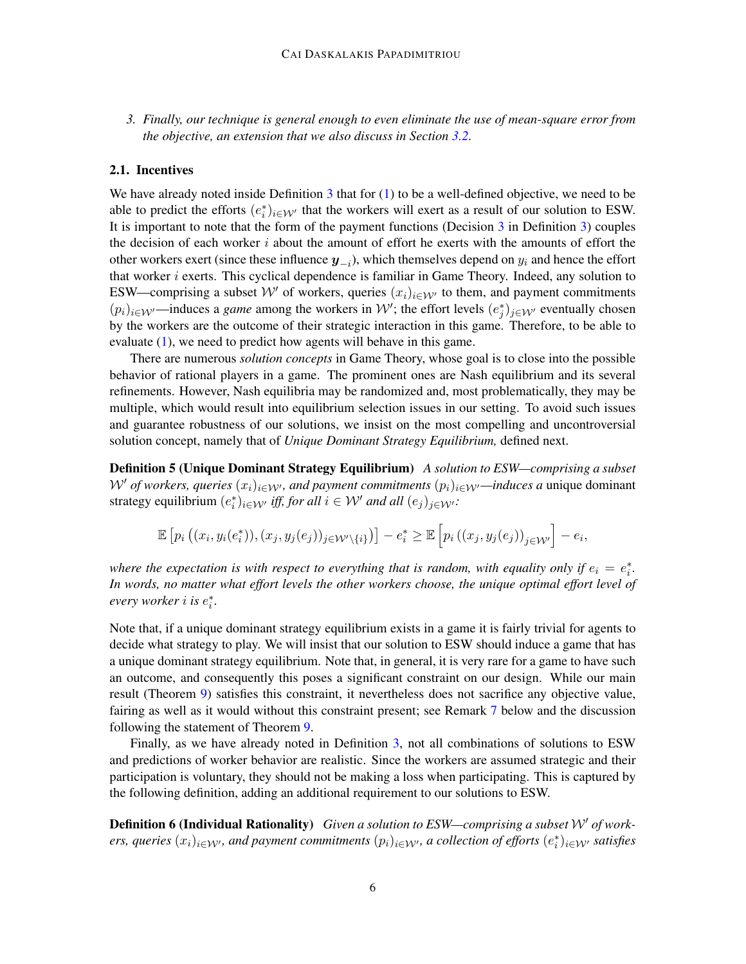*3. Finally, our technique is general enough to even eliminate the use of mean-square error from the objective, an extension that we also discuss in Section [3.2.](#page-10-0)*

#### <span id="page-5-0"></span>2.1. Incentives

We have already noted inside Definition  $3$  that for  $(1)$  to be a well-defined objective, we need to be able to predict the efforts  $(e_i^*)_{i \in \mathcal{W}'}$  that the workers will exert as a result of our solution to ESW. It is important to note that the form of the payment functions (Decision  $\overline{3}$  $\overline{3}$  $\overline{3}$  in Definition  $\overline{3}$ ) couples the decision of each worker  $i$  about the amount of effort he exerts with the amounts of effort the other workers exert (since these influence  $y_{-i}$ ), which themselves depend on  $y_i$  and hence the effort that worker  $i$  exerts. This cyclical dependence is familiar in Game Theory. Indeed, any solution to ESW—comprising a subset  $\mathcal{W}'$  of workers, queries  $(x_i)_{i\in\mathcal{W}'}$  to them, and payment commitments  $(p_i)_{i \in \mathcal{W}}$ —induces a *game* among the workers in W'; the effort levels  $(e_j^*)_{j \in \mathcal{W}}$  eventually chosen by the workers are the outcome of their strategic interaction in this game. Therefore, to be able to evaluate [\(1\)](#page-4-3), we need to predict how agents will behave in this game.

There are numerous *solution concepts* in Game Theory, whose goal is to close into the possible behavior of rational players in a game. The prominent ones are Nash equilibrium and its several refinements. However, Nash equilibria may be randomized and, most problematically, they may be multiple, which would result into equilibrium selection issues in our setting. To avoid such issues and guarantee robustness of our solutions, we insist on the most compelling and uncontroversial solution concept, namely that of *Unique Dominant Strategy Equilibrium,* defined next.

Definition 5 (Unique Dominant Strategy Equilibrium) *A solution to ESW—comprising a subset*  $W'$  *of workers, queries*  $(x_i)_{i\in W'}$ *, and payment commitments*  $(p_i)_{i\in W'}$ *—induces a* unique dominant strategy equilibrium  $(e_i^*)_{i \in \mathcal{W}'}$  *iff, for all*  $i \in \mathcal{W}'$  *and all*  $(e_j)_{j \in \mathcal{W}'}$ *:* 

$$
\mathbb{E}\left[p_i\left((x_i,y_i(e_i^*)),(x_j,y_j(e_j))_{j\in\mathcal{W}'\backslash\{i\}}\right)\right]-e_i^*\geq\mathbb{E}\left[p_i\left((x_j,y_j(e_j))_{j\in\mathcal{W}'}\right]-e_i,
$$

*where the expectation is with respect to everything that is random, with equality only if*  $e_i = e_i^*$ . *In words, no matter what effort levels the other workers choose, the unique optimal effort level of every worker* i *is* e ∗ i *.*

Note that, if a unique dominant strategy equilibrium exists in a game it is fairly trivial for agents to decide what strategy to play. We will insist that our solution to ESW should induce a game that has a unique dominant strategy equilibrium. Note that, in general, it is very rare for a game to have such an outcome, and consequently this poses a significant constraint on our design. While our main result (Theorem [9\)](#page-6-0) satisfies this constraint, it nevertheless does not sacrifice any objective value, fairing as well as it would without this constraint present; see Remark [7](#page-6-1) below and the discussion following the statement of Theorem [9.](#page-6-0)

Finally, as we have already noted in Definition [3,](#page-4-4) not all combinations of solutions to ESW and predictions of worker behavior are realistic. Since the workers are assumed strategic and their participation is voluntary, they should not be making a loss when participating. This is captured by the following definition, adding an additional requirement to our solutions to ESW.

<span id="page-5-1"></span>**Definition 6 (Individual Rationality)** Given a solution to ESW—comprising a subset W' of work*ers, queries*  $(x_i)_{i\in\mathcal{W}'}$ , and payment commitments  $(p_i)_{i\in\mathcal{W}'}$ , a collection of efforts  $(e_i^*)_{i\in\mathcal{W}'}$  satisfies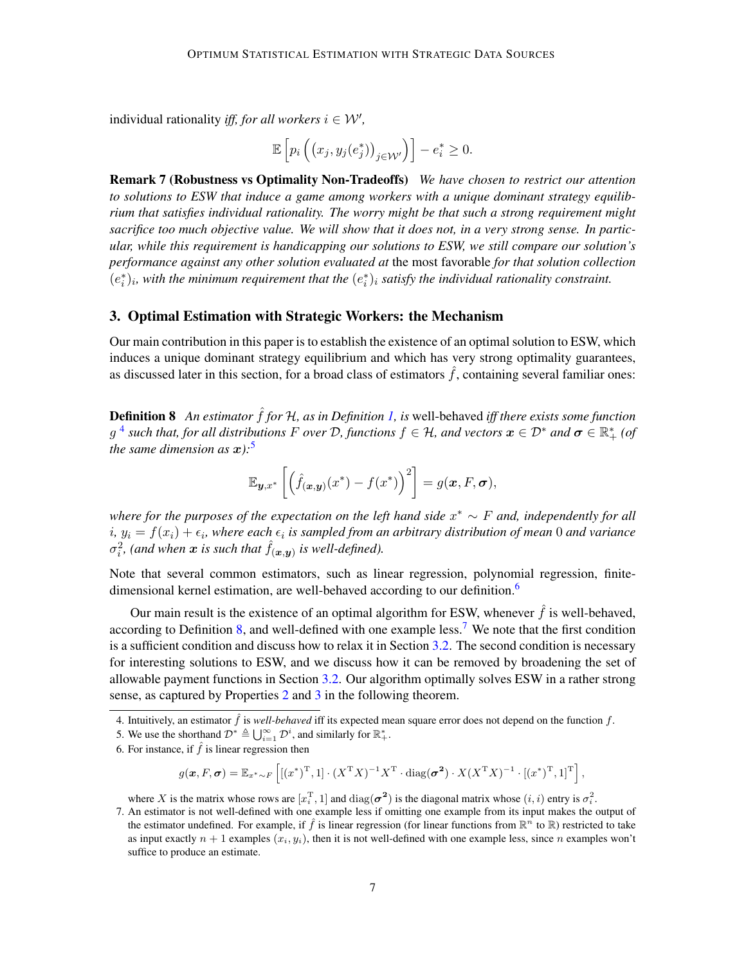individual rationality *iff, for all workers*  $i \in \mathcal{W}'$ ,

$$
\mathbb{E}\left[p_i\left(\left(x_j, y_j(e_j^*)\right)_{j\in\mathcal{W}'}\right)\right] - e_i^* \geq 0.
$$

<span id="page-6-1"></span>Remark 7 (Robustness vs Optimality Non-Tradeoffs) *We have chosen to restrict our attention to solutions to ESW that induce a game among workers with a unique dominant strategy equilibrium that satisfies individual rationality. The worry might be that such a strong requirement might sacrifice too much objective value. We will show that it does not, in a very strong sense. In particular, while this requirement is handicapping our solutions to ESW, we still compare our solution's performance against any other solution evaluated at* the most favorable *for that solution collection*  $(e_i^*)_i$ , with the minimum requirement that the  $(e_i^*)_i$  satisfy the individual rationality constraint.

### 3. Optimal Estimation with Strategic Workers: the Mechanism

Our main contribution in this paper is to establish the existence of an optimal solution to ESW, which induces a unique dominant strategy equilibrium and which has very strong optimality guarantees, as discussed later in this section, for a broad class of estimators  $\hat{f}$ , containing several familiar ones:

<span id="page-6-5"></span>**Definition 8** An estimator  $\hat{f}$  for  $H$ , as in Definition [1,](#page-3-0) is well-behaved *iff there exists some function*  $g$  <sup>[4](#page-6-2)</sup> such that, for all distributions F over D, functions  $f \in H$ , and vectors  $x \in \mathcal{D}^*$  and  $\sigma \in \mathbb{R}_+^*$  (of *the same dimension as*  $x$ ):<sup>[5](#page-6-3)</sup>

$$
\mathbb{E}_{\boldsymbol{y},x^*}\left[\left(\hat{f}_{(\boldsymbol{x},\boldsymbol{y})}(x^*)-f(x^*)\right)^2\right]=g(\boldsymbol{x},F,\boldsymbol{\sigma}),
$$

*where for the purposes of the expectation on the left hand side* x <sup>∗</sup> ∼ F *and, independently for all*  $i, y_i = f(x_i) + \epsilon_i$ , where each  $\epsilon_i$  is sampled from an arbitrary distribution of mean 0 and variance  $\sigma_i^2$ , (and when  $\boldsymbol{x}$  is such that  $\hat{f}_{(\boldsymbol{x}, \boldsymbol{y})}$  is well-defined).

Note that several common estimators, such as linear regression, polynomial regression, finite-dimensional kernel estimation, are well-behaved according to our definition.<sup>[6](#page-6-4)</sup>

Our main result is the existence of an optimal algorithm for ESW, whenever  $\hat{f}$  is well-behaved, according to Definition [8,](#page-6-5) and well-defined with one example less.<sup>[7](#page-6-6)</sup> We note that the first condition is a sufficient condition and discuss how to relax it in Section [3.2.](#page-10-0) The second condition is necessary for interesting solutions to ESW, and we discuss how it can be removed by broadening the set of allowable payment functions in Section [3.2.](#page-10-0) Our algorithm optimally solves ESW in a rather strong sense, as captured by Properties [2](#page-7-0) and [3](#page-7-1) in the following theorem.

$$
g(\boldsymbol{x}, F, \boldsymbol{\sigma}) = \mathbb{E}_{x^* \sim F} \left[ [(x^*)^{\mathrm{T}}, 1] \cdot (X^{\mathrm{T}} X)^{-1} X^{\mathrm{T}} \cdot \mathrm{diag}(\boldsymbol{\sigma^2}) \cdot X (X^{\mathrm{T}} X)^{-1} \cdot [(x^*)^{\mathrm{T}}, 1]^{\mathrm{T}} \right],
$$

<span id="page-6-6"></span>where X is the matrix whose rows are  $[x_i^T, 1]$  and  $diag(\sigma^2)$  is the diagonal matrix whose  $(i, i)$  entry is  $\sigma_i^2$ .

<span id="page-6-2"></span><span id="page-6-0"></span><sup>4.</sup> Intuitively, an estimator  $\hat{f}$  is *well-behaved* iff its expected mean square error does not depend on the function  $f$ .

<span id="page-6-3"></span><sup>5.</sup> We use the shorthand  $\mathcal{D}^* \triangleq \bigcup_{i=1}^{\infty} \mathcal{D}^i$ , and similarly for  $\mathbb{R}_+^*$ .

<span id="page-6-4"></span><sup>6.</sup> For instance, if  $\hat{f}$  is linear regression then

<sup>7.</sup> An estimator is not well-defined with one example less if omitting one example from its input makes the output of the estimator undefined. For example, if  $\hat{f}$  is linear regression (for linear functions from  $\mathbb{R}^n$  to  $\mathbb{R}$ ) restricted to take as input exactly  $n + 1$  examples  $(x_i, y_i)$ , then it is not well-defined with one example less, since n examples won't suffice to produce an estimate.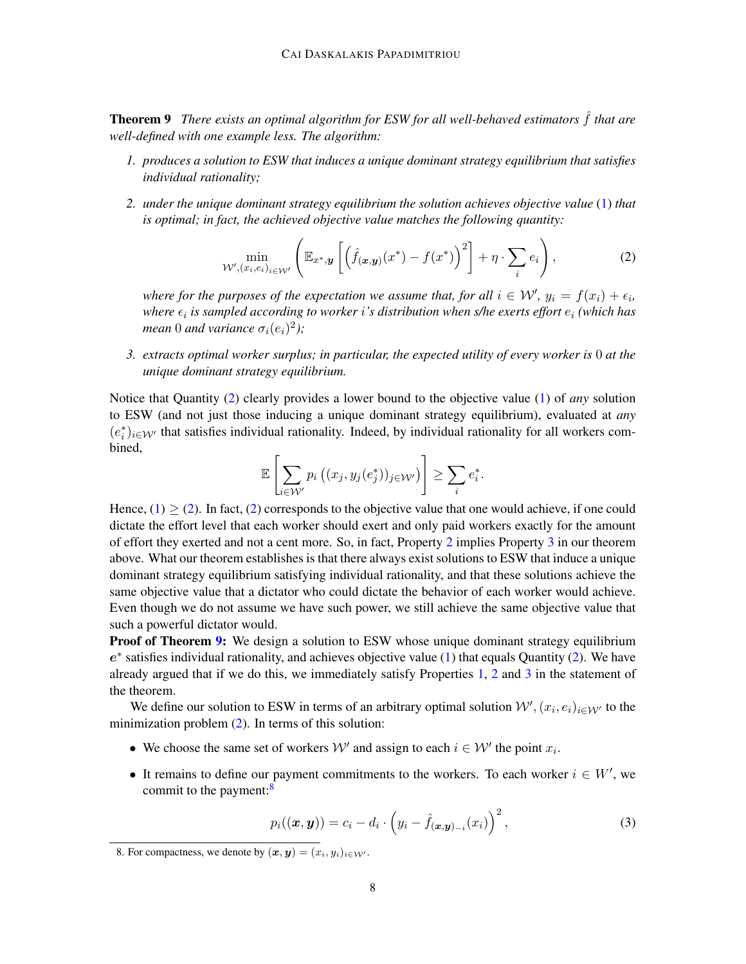Theorem 9 *There exists an optimal algorithm for ESW for all well-behaved estimators* ˆf *that are well-defined with one example less. The algorithm:*

- <span id="page-7-2"></span>*1. produces a solution to ESW that induces a unique dominant strategy equilibrium that satisfies individual rationality;*
- *2. under the unique dominant strategy equilibrium the solution achieves objective value* [\(1\)](#page-4-3) *that is optimal; in fact, the achieved objective value matches the following quantity:*

<span id="page-7-0"></span>
$$
\min_{\mathcal{W}', (x_i, e_i)_{i \in \mathcal{W}'}} \left( \mathbb{E}_{x^*, y} \left[ \left( \hat{f}_{(x, y)}(x^*) - f(x^*) \right)^2 \right] + \eta \cdot \sum_i e_i \right),\tag{2}
$$

*where for the purposes of the expectation we assume that, for all*  $i \in \mathcal{W}'$ ,  $y_i = f(x_i) + \epsilon_i$ , where  $\epsilon_i$  is sampled according to worker i's distribution when s/he exerts effort  $e_i$  (which has *mean* 0 *and variance*  $\sigma_i(e_i)^2$ );

<span id="page-7-1"></span>*3. extracts optimal worker surplus; in particular, the expected utility of every worker is* 0 *at the unique dominant strategy equilibrium.*

Notice that Quantity [\(2\)](#page-7-0) clearly provides a lower bound to the objective value [\(1\)](#page-4-3) of *any* solution to ESW (and not just those inducing a unique dominant strategy equilibrium), evaluated at *any*  $(e_i^*)_{i \in \mathcal{W}'}$  that satisfies individual rationality. Indeed, by individual rationality for all workers combined,

$$
\mathbb{E}\left[\sum_{i\in\mathcal{W}'}p_i\left((x_j,y_j(e_j^*))_{j\in\mathcal{W}'}\right)\right]\geq\sum_ie_i^*.
$$

Hence,  $(1) \ge (2)$  $(1) \ge (2)$  $(1) \ge (2)$ . In fact,  $(2)$  corresponds to the objective value that one would achieve, if one could dictate the effort level that each worker should exert and only paid workers exactly for the amount of effort they exerted and not a cent more. So, in fact, Property [2](#page-7-0) implies Property [3](#page-7-1) in our theorem above. What our theorem establishes is that there always exist solutions to ESW that induce a unique dominant strategy equilibrium satisfying individual rationality, and that these solutions achieve the same objective value that a dictator who could dictate the behavior of each worker would achieve. Even though we do not assume we have such power, we still achieve the same objective value that such a powerful dictator would.

**Proof of Theorem [9:](#page-6-0)** We design a solution to ESW whose unique dominant strategy equilibrium  $e^*$  satisfies individual rationality, and achieves objective value [\(1\)](#page-4-3) that equals Quantity [\(2\)](#page-7-0). We have already argued that if we do this, we immediately satisfy Properties [1,](#page-7-2) [2](#page-7-0) and [3](#page-7-1) in the statement of the theorem.

We define our solution to ESW in terms of an arbitrary optimal solution  $\mathcal{W}', (x_i, e_i)_{i \in \mathcal{W}'}$  to the minimization problem [\(2\)](#page-7-0). In terms of this solution:

- We choose the same set of workers  $\mathcal{W}'$  and assign to each  $i \in \mathcal{W}'$  the point  $x_i$ .
- It remains to define our payment commitments to the workers. To each worker  $i \in W'$ , we commit to the payment:<sup>[8](#page-7-3)</sup>

<span id="page-7-4"></span>
$$
p_i((\boldsymbol{x}, \boldsymbol{y})) = c_i - d_i \cdot \left(y_i - \hat{f}_{(\boldsymbol{x}, \boldsymbol{y})_{-i}}(x_i)\right)^2, \tag{3}
$$

<span id="page-7-3"></span><sup>8.</sup> For compactness, we denote by  $(\boldsymbol{x}, \boldsymbol{y}) = (x_i, y_i)_{i \in \mathcal{W}}$ .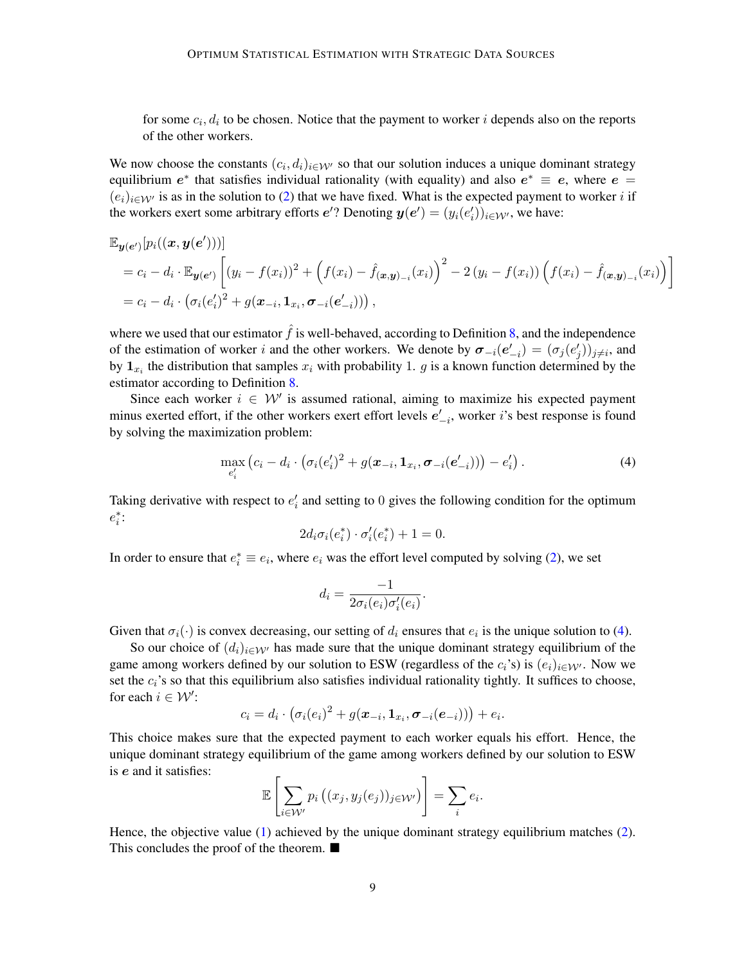for some  $c_i, d_i$  to be chosen. Notice that the payment to worker i depends also on the reports of the other workers.

We now choose the constants  $(c_i, d_i)_{i \in \mathcal{W}}$  so that our solution induces a unique dominant strategy equilibrium  $e^*$  that satisfies individual rationality (with equality) and also  $e^* \equiv e$ , where  $e =$  $(e_i)_{i\in\mathcal{W}'}$  is as in the solution to [\(2\)](#page-7-0) that we have fixed. What is the expected payment to worker i if the workers exert some arbitrary efforts  $e'$ ? Denoting  $y(e') = (y_i(e'_i))_{i \in \mathcal{W}'}$ , we have:

$$
\mathbb{E}_{\mathbf{y}(e')}[p_i((\mathbf{x}, \mathbf{y}(e')))]
$$
\n
$$
= c_i - d_i \cdot \mathbb{E}_{\mathbf{y}(e')}[(y_i - f(x_i))^2 + (f(x_i) - \hat{f}(x_i))\mathbf{y})^2 - 2(y_i - f(x_i)) (f(x_i) - \hat{f}(x_i)\mathbf{y})]
$$
\n
$$
= c_i - d_i \cdot (\sigma_i(e_i')^2 + g(\mathbf{x}_{-i}, \mathbf{1}_{x_i}, \sigma_{-i}(e_{-i}'))),
$$

where we used that our estimator  $\hat{f}$  is well-behaved, according to Definition [8,](#page-6-5) and the independence of the estimation of worker i and the other workers. We denote by  $\sigma_{-i}(e'_{-i}) = (\sigma_j(e'_j))_{j \neq i}$ , and by  $\mathbf{1}_{x_i}$  the distribution that samples  $x_i$  with probability 1. g is a known function determined by the estimator according to Definition [8.](#page-6-5)

Since each worker  $i \in \mathcal{W}'$  is assumed rational, aiming to maximize his expected payment minus exerted effort, if the other workers exert effort levels  $e'_{-i}$ , worker *i*'s best response is found by solving the maximization problem:

$$
\max_{e'_i} (c_i - d_i \cdot (\sigma_i(e'_i)^2 + g(\pmb{x}_{-i}, \pmb{1}_{x_i}, \pmb{\sigma}_{-i}(e'_{-i}))) - e'_i).
$$
\n(4)

Taking derivative with respect to  $e'_i$  and setting to 0 gives the following condition for the optimum  $e_i^*$ :

<span id="page-8-0"></span>
$$
2d_i\sigma_i(e_i^*)\cdot \sigma'_i(e_i^*) + 1 = 0.
$$

In order to ensure that  $e_i^* \equiv e_i$ , where  $e_i$  was the effort level computed by solving [\(2\)](#page-7-0), we set

$$
d_i = \frac{-1}{2\sigma_i(e_i)\sigma'_i(e_i)}.
$$

Given that  $\sigma_i(\cdot)$  is convex decreasing, our setting of  $d_i$  ensures that  $e_i$  is the unique solution to [\(4\)](#page-8-0).

So our choice of  $(d_i)_{i \in \mathcal{W}}$  has made sure that the unique dominant strategy equilibrium of the game among workers defined by our solution to ESW (regardless of the  $c_i$ 's) is  $(e_i)_{i\in\mathcal{W}}$ . Now we set the  $c_i$ 's so that this equilibrium also satisfies individual rationality tightly. It suffices to choose, for each  $i \in \mathcal{W}'$ :

$$
c_i = d_i \cdot \big(\sigma_i(e_i)^2 + g(\boldsymbol{x}_{-i}, \mathbf{1}_{x_i}, \boldsymbol{\sigma}_{-i}(e_{-i}))\big) + e_i.
$$

This choice makes sure that the expected payment to each worker equals his effort. Hence, the unique dominant strategy equilibrium of the game among workers defined by our solution to ESW is e and it satisfies:

$$
\mathbb{E}\left[\sum_{i\in\mathcal{W}'}p_i\left((x_j,y_j(e_j))_{j\in\mathcal{W}'}\right)\right] = \sum_i e_i.
$$

Hence, the objective value [\(1\)](#page-4-3) achieved by the unique dominant strategy equilibrium matches [\(2\)](#page-7-0). This concludes the proof of the theorem. ■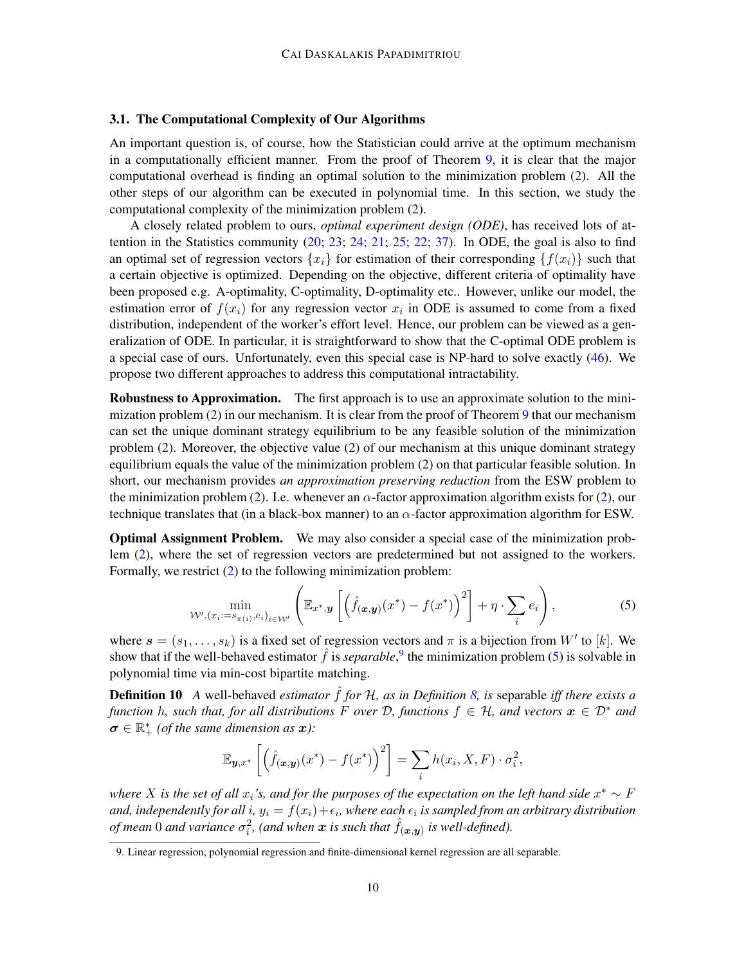## <span id="page-9-2"></span>3.1. The Computational Complexity of Our Algorithms

An important question is, of course, how the Statistician could arrive at the optimum mechanism in a computationally efficient manner. From the proof of Theorem [9,](#page-6-0) it is clear that the major computational overhead is finding an optimal solution to the minimization problem [\(2\)](#page-7-0). All the other steps of our algorithm can be executed in polynomial time. In this section, we study the computational complexity of the minimization problem [\(2\)](#page-7-0).

A closely related problem to ours, *optimal experiment design (ODE)*, has received lots of attention in the Statistics community  $(20; 23; 24; 21; 25; 22; 37)$  $(20; 23; 24; 21; 25; 22; 37)$  $(20; 23; 24; 21; 25; 22; 37)$  $(20; 23; 24; 21; 25; 22; 37)$  $(20; 23; 24; 21; 25; 22; 37)$  $(20; 23; 24; 21; 25; 22; 37)$  $(20; 23; 24; 21; 25; 22; 37)$  $(20; 23; 24; 21; 25; 22; 37)$  $(20; 23; 24; 21; 25; 22; 37)$  $(20; 23; 24; 21; 25; 22; 37)$  $(20; 23; 24; 21; 25; 22; 37)$  $(20; 23; 24; 21; 25; 22; 37)$  $(20; 23; 24; 21; 25; 22; 37)$ . In ODE, the goal is also to find an optimal set of regression vectors  $\{x_i\}$  for estimation of their corresponding  $\{f(x_i)\}$  such that a certain objective is optimized. Depending on the objective, different criteria of optimality have been proposed e.g. A-optimality, C-optimality, D-optimality etc.. However, unlike our model, the estimation error of  $f(x_i)$  for any regression vector  $x_i$  in ODE is assumed to come from a fixed distribution, independent of the worker's effort level. Hence, our problem can be viewed as a generalization of ODE. In particular, it is straightforward to show that the C-optimal ODE problem is a special case of ours. Unfortunately, even this special case is NP-hard to solve exactly [\(46\)](#page-14-4). We propose two different approaches to address this computational intractability.

Robustness to Approximation. The first approach is to use an approximate solution to the minimization problem [\(2\)](#page-7-0) in our mechanism. It is clear from the proof of Theorem [9](#page-6-0) that our mechanism can set the unique dominant strategy equilibrium to be any feasible solution of the minimization problem [\(2\)](#page-7-0). Moreover, the objective value [\(2\)](#page-7-0) of our mechanism at this unique dominant strategy equilibrium equals the value of the minimization problem [\(2\)](#page-7-0) on that particular feasible solution. In short, our mechanism provides *an approximation preserving reduction* from the ESW problem to the minimization problem [\(2\)](#page-7-0). I.e. whenever an  $\alpha$ -factor approximation algorithm exists for (2), our technique translates that (in a black-box manner) to an  $\alpha$ -factor approximation algorithm for ESW.

Optimal Assignment Problem. We may also consider a special case of the minimization problem [\(2\)](#page-7-0), where the set of regression vectors are predetermined but not assigned to the workers. Formally, we restrict  $(2)$  to the following minimization problem:

$$
\min_{\mathcal{W}', (x_i := s_{\pi(i)}, e_i)_{i \in \mathcal{W}'} } \left( \mathbb{E}_{x^*, y} \left[ \left( \hat{f}_{(\boldsymbol{x}, y)}(x^*) - f(x^*) \right)^2 \right] + \eta \cdot \sum_i e_i \right), \tag{5}
$$

where  $s = (s_1, \ldots, s_k)$  is a fixed set of regression vectors and  $\pi$  is a bijection from W' to [k]. We show that if the well-behaved estimator  $\hat{f}$  is *separable*,<sup>[9](#page-9-0)</sup> the minimization problem [\(5\)](#page-9-1) is solvable in polynomial time via min-cost bipartite matching.

**Definition 10** A well-behaved *estimator*  $\hat{f}$  *for*  $H$ *, as in Definition* 8*, is* separable *iff there exists a function* h, such that, for all distributions F over D, functions  $f \in H$ , and vectors  $x \in D^*$  and  $\sigma \in \mathbb{R}_+^*$  (of the same dimension as  $x$ ):

<span id="page-9-1"></span>
$$
\mathbb{E}_{\mathbf{y},x^*}\left[\left(\hat{f}_{(\mathbf{x},\mathbf{y})}(x^*) - f(x^*)\right)^2\right] = \sum_i h(x_i, X, F) \cdot \sigma_i^2,
$$

where X is the set of all  $x_i$ 's, and for the purposes of the expectation on the left hand side  $x^* \sim F$ and, independently for all  $i$ ,  $y_i = f(x_i) + \epsilon_i$ , where each  $\epsilon_i$  is sampled from an arbitrary distribution *of mean* 0 *and variance*  $\sigma_i^2$ , (and when  $\bm{x}$  is such that  $\hat{f}_{(\bm{x},\bm{y})}$  is well-defined).

<span id="page-9-0"></span><sup>9.</sup> Linear regression, polynomial regression and finite-dimensional kernel regression are all separable.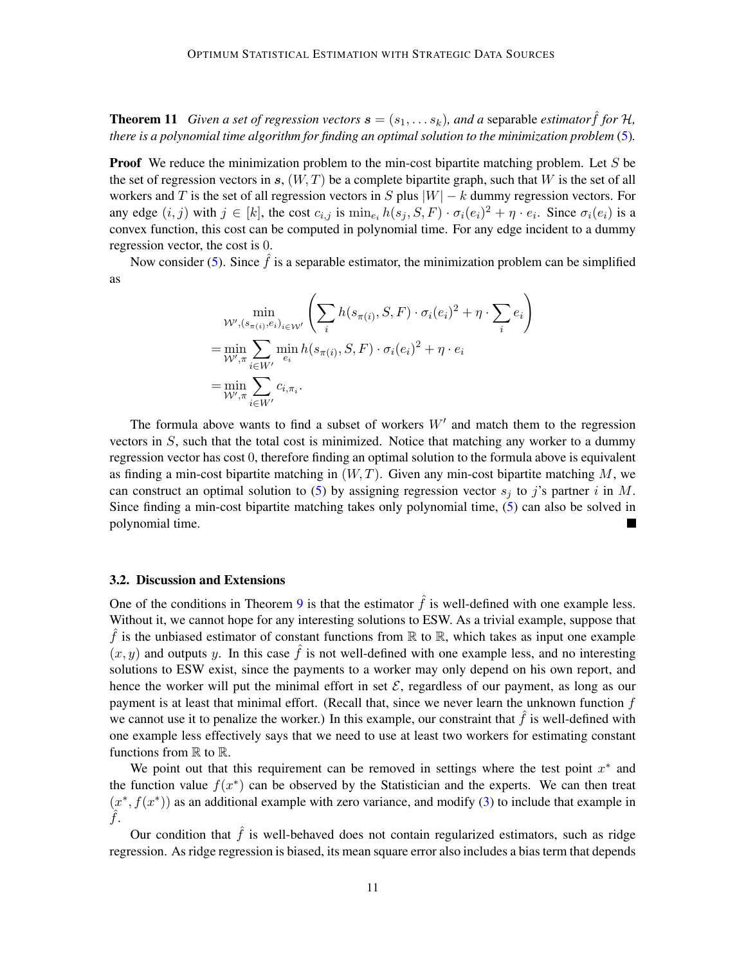**Theorem 11** *Given a set of regression vectors*  $\mathbf{s} = (s_1, \ldots s_k)$ *, and a separable estimator f for* H, *there is a polynomial time algorithm for finding an optimal solution to the minimization problem* [\(5\)](#page-9-1)*.*

**Proof** We reduce the minimization problem to the min-cost bipartite matching problem. Let S be the set of regression vectors in s,  $(W, T)$  be a complete bipartite graph, such that W is the set of all workers and T is the set of all regression vectors in S plus  $|W| - k$  dummy regression vectors. For any edge  $(i, j)$  with  $j \in [k]$ , the cost  $c_{i,j}$  is  $\min_{e_i} h(s_j, S, F) \cdot \sigma_i(e_i)^2 + \eta \cdot e_i$ . Since  $\sigma_i(e_i)$  is a convex function, this cost can be computed in polynomial time. For any edge incident to a dummy regression vector, the cost is 0.

Now consider [\(5\)](#page-9-1). Since  $\hat{f}$  is a separable estimator, the minimization problem can be simplified as

$$
\min_{\substack{\mathcal{W}', (s_{\pi(i)}, e_i)_{i \in \mathcal{W}'} \\ \mathbf{=} \min_{\mathcal{W}', \pi} \sum_{i \in \mathcal{W}'} \min_{e_i} h(s_{\pi(i)}, S, F) \cdot \sigma_i(e_i)^2 + \eta \cdot \sum_i e_i} \\ = \min_{\substack{\mathcal{W}', \pi \\ \mathbf{=} \min_{i \in \mathcal{W}'}} \sum_{i \in \mathcal{W}'} c_{i, \pi_i}} c_{i, \pi_i}.
$$

The formula above wants to find a subset of workers  $W'$  and match them to the regression vectors in  $S$ , such that the total cost is minimized. Notice that matching any worker to a dummy regression vector has cost 0, therefore finding an optimal solution to the formula above is equivalent as finding a min-cost bipartite matching in  $(W, T)$ . Given any min-cost bipartite matching M, we can construct an optimal solution to [\(5\)](#page-9-1) by assigning regression vector  $s_i$  to j's partner i in M. Since finding a min-cost bipartite matching takes only polynomial time, [\(5\)](#page-9-1) can also be solved in polynomial time.

#### <span id="page-10-0"></span>3.2. Discussion and Extensions

One of the conditions in Theorem [9](#page-6-0) is that the estimator  $\hat{f}$  is well-defined with one example less. Without it, we cannot hope for any interesting solutions to ESW. As a trivial example, suppose that  $\hat{f}$  is the unbiased estimator of constant functions from  $\mathbb R$  to  $\mathbb R$ , which takes as input one example  $(x, y)$  and outputs y. In this case  $\hat{f}$  is not well-defined with one example less, and no interesting solutions to ESW exist, since the payments to a worker may only depend on his own report, and hence the worker will put the minimal effort in set  $\mathcal{E}$ , regardless of our payment, as long as our payment is at least that minimal effort. (Recall that, since we never learn the unknown function  $f$ we cannot use it to penalize the worker.) In this example, our constraint that  $\hat{f}$  is well-defined with one example less effectively says that we need to use at least two workers for estimating constant functions from  $\mathbb R$  to  $\mathbb R$ .

We point out that this requirement can be removed in settings where the test point  $x^*$  and the function value  $f(x^*)$  can be observed by the Statistician and the experts. We can then treat  $(x^*, f(x^*))$  as an additional example with zero variance, and modify [\(3\)](#page-7-4) to include that example in  $\ddot{f}$ .

Our condition that  $\hat{f}$  is well-behaved does not contain regularized estimators, such as ridge regression. As ridge regression is biased, its mean square error also includes a bias term that depends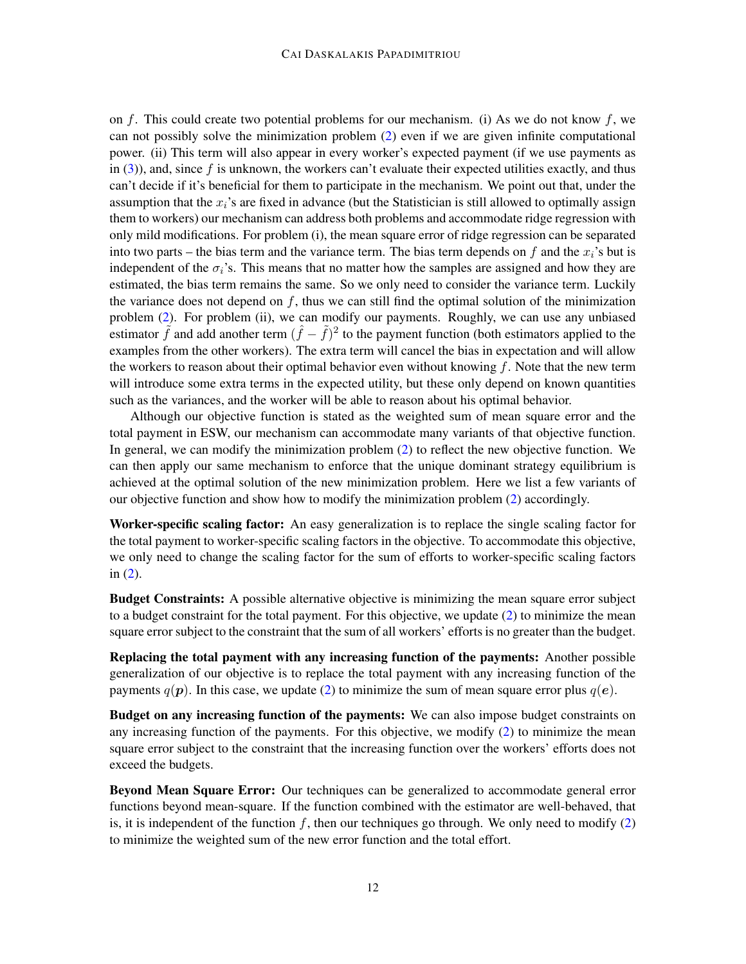on  $f$ . This could create two potential problems for our mechanism. (i) As we do not know  $f$ , we can not possibly solve the minimization problem [\(2\)](#page-7-0) even if we are given infinite computational power. (ii) This term will also appear in every worker's expected payment (if we use payments as in  $(3)$ ), and, since f is unknown, the workers can't evaluate their expected utilities exactly, and thus can't decide if it's beneficial for them to participate in the mechanism. We point out that, under the assumption that the  $x_i$ 's are fixed in advance (but the Statistician is still allowed to optimally assign them to workers) our mechanism can address both problems and accommodate ridge regression with only mild modifications. For problem (i), the mean square error of ridge regression can be separated into two parts – the bias term and the variance term. The bias term depends on f and the  $x_i$ 's but is independent of the  $\sigma_i$ 's. This means that no matter how the samples are assigned and how they are estimated, the bias term remains the same. So we only need to consider the variance term. Luckily the variance does not depend on  $f$ , thus we can still find the optimal solution of the minimization problem [\(2\)](#page-7-0). For problem (ii), we can modify our payments. Roughly, we can use any unbiased estimator  $\tilde{f}$  and add another term  $(\hat{f} - \tilde{f})^2$  to the payment function (both estimators applied to the examples from the other workers). The extra term will cancel the bias in expectation and will allow the workers to reason about their optimal behavior even without knowing  $f$ . Note that the new term will introduce some extra terms in the expected utility, but these only depend on known quantities such as the variances, and the worker will be able to reason about his optimal behavior.

Although our objective function is stated as the weighted sum of mean square error and the total payment in ESW, our mechanism can accommodate many variants of that objective function. In general, we can modify the minimization problem [\(2\)](#page-7-0) to reflect the new objective function. We can then apply our same mechanism to enforce that the unique dominant strategy equilibrium is achieved at the optimal solution of the new minimization problem. Here we list a few variants of our objective function and show how to modify the minimization problem [\(2\)](#page-7-0) accordingly.

Worker-specific scaling factor: An easy generalization is to replace the single scaling factor for the total payment to worker-specific scaling factors in the objective. To accommodate this objective, we only need to change the scaling factor for the sum of efforts to worker-specific scaling factors in [\(2\)](#page-7-0).

**Budget Constraints:** A possible alternative objective is minimizing the mean square error subject to a budget constraint for the total payment. For this objective, we update [\(2\)](#page-7-0) to minimize the mean square error subject to the constraint that the sum of all workers' efforts is no greater than the budget.

Replacing the total payment with any increasing function of the payments: Another possible generalization of our objective is to replace the total payment with any increasing function of the payments  $q(\mathbf{p})$ . In this case, we update [\(2\)](#page-7-0) to minimize the sum of mean square error plus  $q(\mathbf{e})$ .

Budget on any increasing function of the payments: We can also impose budget constraints on any increasing function of the payments. For this objective, we modify [\(2\)](#page-7-0) to minimize the mean square error subject to the constraint that the increasing function over the workers' efforts does not exceed the budgets.

Beyond Mean Square Error: Our techniques can be generalized to accommodate general error functions beyond mean-square. If the function combined with the estimator are well-behaved, that is, it is independent of the function f, then our techniques go through. We only need to modify  $(2)$ to minimize the weighted sum of the new error function and the total effort.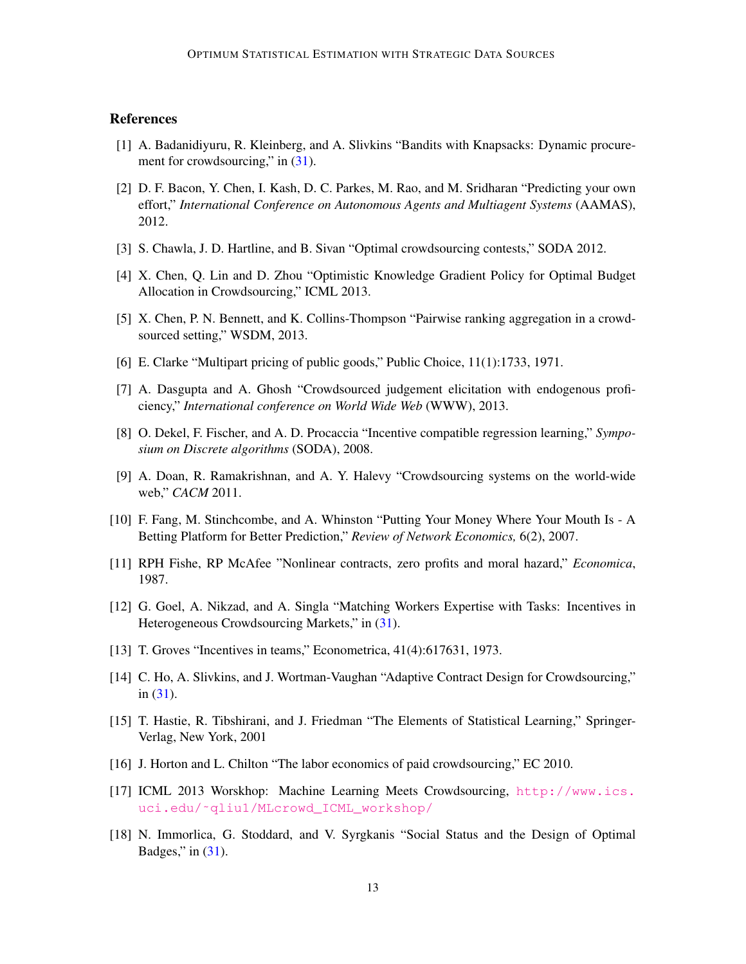# References

- <span id="page-12-9"></span>[1] A. Badanidiyuru, R. Kleinberg, and A. Slivkins "Bandits with Knapsacks: Dynamic procurement for crowdsourcing," in  $(31)$ .
- <span id="page-12-13"></span>[2] D. F. Bacon, Y. Chen, I. Kash, D. C. Parkes, M. Rao, and M. Sridharan "Predicting your own effort," *International Conference on Autonomous Agents and Multiagent Systems* (AAMAS), 2012.
- <span id="page-12-11"></span>[3] S. Chawla, J. D. Hartline, and B. Sivan "Optimal crowdsourcing contests," SODA 2012.
- <span id="page-12-8"></span>[4] X. Chen, Q. Lin and D. Zhou "Optimistic Knowledge Gradient Policy for Optimal Budget Allocation in Crowdsourcing," ICML 2013.
- [5] X. Chen, P. N. Bennett, and K. Collins-Thompson "Pairwise ranking aggregation in a crowdsourced setting," WSDM, 2013.
- <span id="page-12-1"></span>[6] E. Clarke "Multipart pricing of public goods," Public Choice, 11(1):1733, 1971.
- <span id="page-12-14"></span>[7] A. Dasgupta and A. Ghosh "Crowdsourced judgement elicitation with endogenous proficiency," *International conference on World Wide Web* (WWW), 2013.
- <span id="page-12-12"></span>[8] O. Dekel, F. Fischer, and A. D. Procaccia "Incentive compatible regression learning," *Symposium on Discrete algorithms* (SODA), 2008.
- <span id="page-12-0"></span>[9] A. Doan, R. Ramakrishnan, and A. Y. Halevy "Crowdsourcing systems on the world-wide web," *CACM* 2011.
- <span id="page-12-15"></span>[10] F. Fang, M. Stinchcombe, and A. Whinston "Putting Your Money Where Your Mouth Is - A Betting Platform for Better Prediction," *Review of Network Economics,* 6(2), 2007.
- <span id="page-12-16"></span>[11] RPH Fishe, RP McAfee "Nonlinear contracts, zero profits and moral hazard," *Economica*, 1987.
- <span id="page-12-7"></span>[12] G. Goel, A. Nikzad, and A. Singla "Matching Workers Expertise with Tasks: Incentives in Heterogeneous Crowdsourcing Markets," in [\(31\)](#page-13-8).
- <span id="page-12-2"></span>[13] T. Groves "Incentives in teams," Econometrica, 41(4):617631, 1973.
- <span id="page-12-6"></span>[14] C. Ho, A. Slivkins, and J. Wortman-Vaughan "Adaptive Contract Design for Crowdsourcing," in  $(31)$ .
- <span id="page-12-4"></span>[15] T. Hastie, R. Tibshirani, and J. Friedman "The Elements of Statistical Learning," Springer-Verlag, New York, 2001
- <span id="page-12-5"></span>[16] J. Horton and L. Chilton "The labor economics of paid crowdsourcing," EC 2010.
- <span id="page-12-3"></span>[17] ICML 2013 Worskhop: Machine Learning Meets Crowdsourcing, [http://www.ics.](http://www.ics.uci.edu/~qliu1/MLcrowd_ICML_workshop/) [uci.edu/˜qliu1/MLcrowd\\_ICML\\_workshop/](http://www.ics.uci.edu/~qliu1/MLcrowd_ICML_workshop/)
- <span id="page-12-10"></span>[18] N. Immorlica, G. Stoddard, and V. Syrgkanis "Social Status and the Design of Optimal Badges," in  $(31)$ .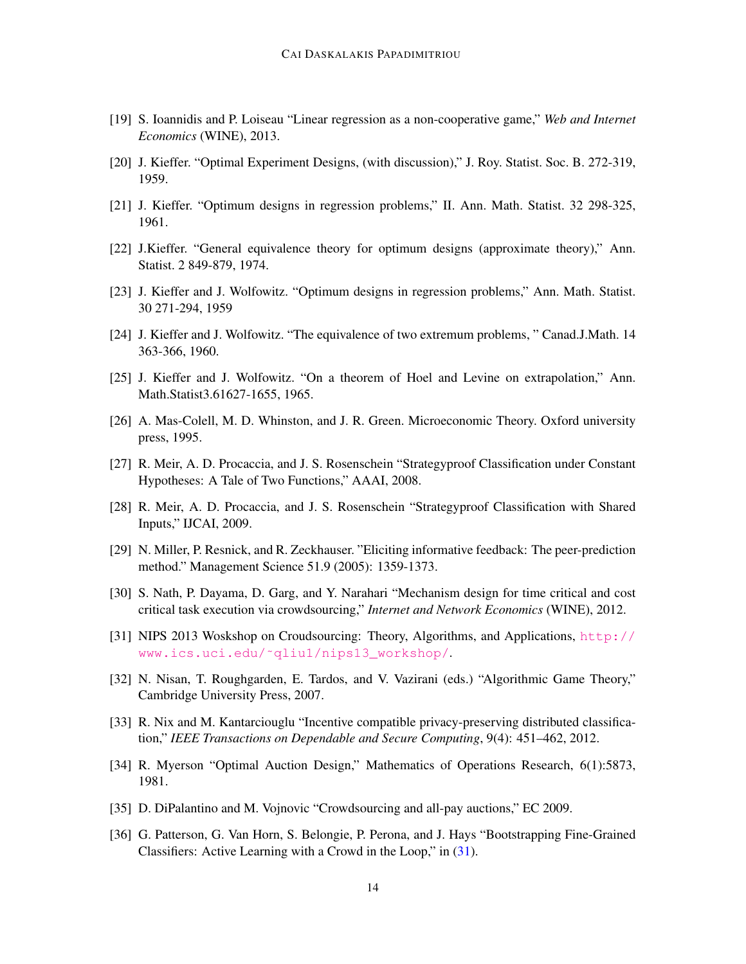- <span id="page-13-11"></span>[19] S. Ioannidis and P. Loiseau "Linear regression as a non-cooperative game," *Web and Internet Economics* (WINE), 2013.
- <span id="page-13-2"></span>[20] J. Kieffer. "Optimal Experiment Designs, (with discussion)," J. Roy. Statist. Soc. B. 272-319, 1959.
- <span id="page-13-5"></span>[21] J. Kieffer. "Optimum designs in regression problems," II. Ann. Math. Statist. 32 298-325, 1961.
- <span id="page-13-7"></span>[22] J.Kieffer. "General equivalence theory for optimum designs (approximate theory)," Ann. Statist. 2 849-879, 1974.
- <span id="page-13-3"></span>[23] J. Kieffer and J. Wolfowitz. "Optimum designs in regression problems," Ann. Math. Statist. 30 271-294, 1959
- <span id="page-13-4"></span>[24] J. Kieffer and J. Wolfowitz. "The equivalence of two extremum problems, " Canad.J.Math. 14 363-366, 1960.
- <span id="page-13-6"></span>[25] J. Kieffer and J. Wolfowitz. "On a theorem of Hoel and Levine on extrapolation," Ann. Math.Statist3.61627-1655, 1965.
- <span id="page-13-16"></span>[26] A. Mas-Colell, M. D. Whinston, and J. R. Green. Microeconomic Theory. Oxford university press, 1995.
- <span id="page-13-13"></span>[27] R. Meir, A. D. Procaccia, and J. S. Rosenschein "Strategyproof Classification under Constant Hypotheses: A Tale of Two Functions," AAAI, 2008.
- <span id="page-13-14"></span>[28] R. Meir, A. D. Procaccia, and J. S. Rosenschein "Strategyproof Classification with Shared Inputs," IJCAI, 2009.
- <span id="page-13-15"></span>[29] N. Miller, P. Resnick, and R. Zeckhauser. "Eliciting informative feedback: The peer-prediction method." Management Science 51.9 (2005): 1359-1373.
- <span id="page-13-9"></span>[30] S. Nath, P. Dayama, D. Garg, and Y. Narahari "Mechanism design for time critical and cost critical task execution via crowdsourcing," *Internet and Network Economics* (WINE), 2012.
- <span id="page-13-8"></span>[31] NIPS 2013 Woskshop on Croudsourcing: Theory, Algorithms, and Applications, [http://](http://www.ics.uci.edu/~qliu1/nips13_workshop/) [www.ics.uci.edu/˜qliu1/nips13\\_workshop/](http://www.ics.uci.edu/~qliu1/nips13_workshop/).
- <span id="page-13-0"></span>[32] N. Nisan, T. Roughgarden, E. Tardos, and V. Vazirani (eds.) "Algorithmic Game Theory," Cambridge University Press, 2007.
- <span id="page-13-10"></span>[33] R. Nix and M. Kantarciouglu "Incentive compatible privacy-preserving distributed classification," *IEEE Transactions on Dependable and Secure Computing*, 9(4): 451–462, 2012.
- <span id="page-13-1"></span>[34] R. Myerson "Optimal Auction Design," Mathematics of Operations Research, 6(1):5873, 1981.
- <span id="page-13-12"></span>[35] D. DiPalantino and M. Vojnovic "Crowdsourcing and all-pay auctions," EC 2009.
- [36] G. Patterson, G. Van Horn, S. Belongie, P. Perona, and J. Hays "Bootstrapping Fine-Grained Classifiers: Active Learning with a Crowd in the Loop," in [\(31\)](#page-13-8).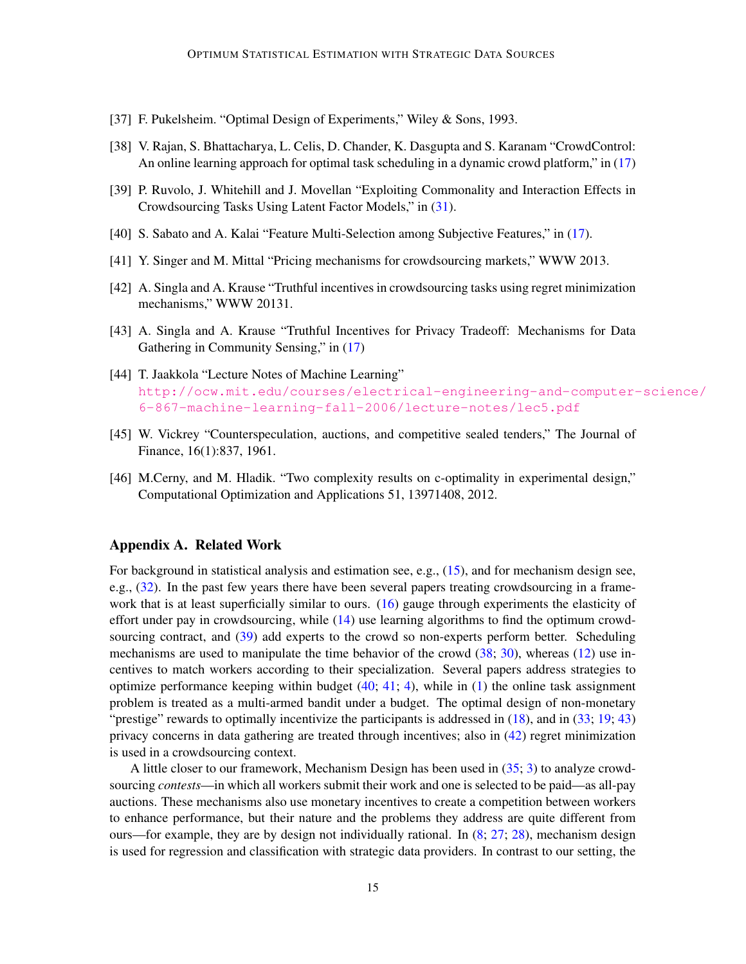- <span id="page-14-3"></span>[37] F. Pukelsheim. "Optimal Design of Experiments," Wiley & Sons, 1993.
- <span id="page-14-6"></span>[38] V. Rajan, S. Bhattacharya, L. Celis, D. Chander, K. Dasgupta and S. Karanam "CrowdControl: An online learning approach for optimal task scheduling in a dynamic crowd platform," in [\(17\)](#page-12-3)
- <span id="page-14-5"></span>[39] P. Ruvolo, J. Whitehill and J. Movellan "Exploiting Commonality and Interaction Effects in Crowdsourcing Tasks Using Latent Factor Models," in [\(31\)](#page-13-8).
- <span id="page-14-7"></span>[40] S. Sabato and A. Kalai "Feature Multi-Selection among Subjective Features," in [\(17\)](#page-12-3).
- <span id="page-14-8"></span>[41] Y. Singer and M. Mittal "Pricing mechanisms for crowdsourcing markets," WWW 2013.
- <span id="page-14-10"></span>[42] A. Singla and A. Krause "Truthful incentives in crowdsourcing tasks using regret minimization mechanisms," WWW 20131.
- <span id="page-14-9"></span>[43] A. Singla and A. Krause "Truthful Incentives for Privacy Tradeoff: Mechanisms for Data Gathering in Community Sensing," in [\(17\)](#page-12-3)
- <span id="page-14-2"></span>[44] T. Jaakkola "Lecture Notes of Machine Learning" [http://ocw.mit.edu/courses/electrical-engineering-and-computer-](http://ocw.mit.edu/courses/electrical-engineering-and-computer-science/6-867-machine-learning-fall-2006/lecture-notes/lec5.pdf)science/ [6-867-machine-learning-fall-2006/lecture-notes/lec5.pdf](http://ocw.mit.edu/courses/electrical-engineering-and-computer-science/6-867-machine-learning-fall-2006/lecture-notes/lec5.pdf)
- <span id="page-14-1"></span>[45] W. Vickrey "Counterspeculation, auctions, and competitive sealed tenders," The Journal of Finance, 16(1):837, 1961.
- <span id="page-14-4"></span>[46] M.Cerny, and M. Hladik. "Two complexity results on c-optimality in experimental design," Computational Optimization and Applications 51, 13971408, 2012.

# <span id="page-14-0"></span>Appendix A. Related Work

For background in statistical analysis and estimation see, e.g., [\(15\)](#page-12-4), and for mechanism design see, e.g., [\(32\)](#page-13-0). In the past few years there have been several papers treating crowdsourcing in a framework that is at least superficially similar to ours. [\(16\)](#page-12-5) gauge through experiments the elasticity of effort under pay in crowdsourcing, while [\(14\)](#page-12-6) use learning algorithms to find the optimum crowd-sourcing contract, and [\(39\)](#page-14-5) add experts to the crowd so non-experts perform better. Scheduling mechanisms are used to manipulate the time behavior of the crowd [\(38;](#page-14-6) [30\)](#page-13-9), whereas [\(12\)](#page-12-7) use incentives to match workers according to their specialization. Several papers address strategies to optimize performance keeping within budget  $(40; 41; 4)$  $(40; 41; 4)$  $(40; 41; 4)$  $(40; 41; 4)$  $(40; 41; 4)$ , while in  $(1)$  the online task assignment problem is treated as a multi-armed bandit under a budget. The optimal design of non-monetary "prestige" rewards to optimally incentivize the participants is addressed in  $(18)$ , and in  $(33; 19; 43)$  $(33; 19; 43)$  $(33; 19; 43)$  $(33; 19; 43)$  $(33; 19; 43)$ privacy concerns in data gathering are treated through incentives; also in [\(42\)](#page-14-10) regret minimization is used in a crowdsourcing context.

A little closer to our framework, Mechanism Design has been used in [\(35;](#page-13-12) [3\)](#page-12-11) to analyze crowdsourcing *contests*—in which all workers submit their work and one is selected to be paid—as all-pay auctions. These mechanisms also use monetary incentives to create a competition between workers to enhance performance, but their nature and the problems they address are quite different from ours—for example, they are by design not individually rational. In  $(8; 27; 28)$  $(8; 27; 28)$  $(8; 27; 28)$  $(8; 27; 28)$  $(8; 27; 28)$ , mechanism design is used for regression and classification with strategic data providers. In contrast to our setting, the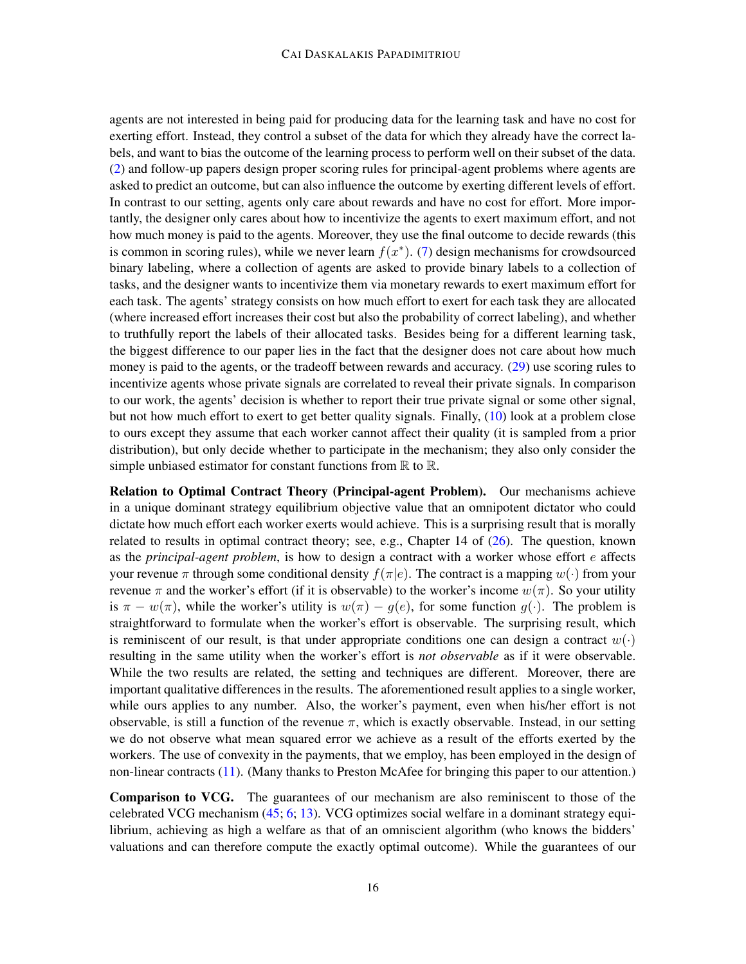agents are not interested in being paid for producing data for the learning task and have no cost for exerting effort. Instead, they control a subset of the data for which they already have the correct labels, and want to bias the outcome of the learning process to perform well on their subset of the data. [\(2\)](#page-12-13) and follow-up papers design proper scoring rules for principal-agent problems where agents are asked to predict an outcome, but can also influence the outcome by exerting different levels of effort. In contrast to our setting, agents only care about rewards and have no cost for effort. More importantly, the designer only cares about how to incentivize the agents to exert maximum effort, and not how much money is paid to the agents. Moreover, they use the final outcome to decide rewards (this is common in scoring rules), while we never learn  $f(x^*)$ . [\(7\)](#page-12-14) design mechanisms for crowdsourced binary labeling, where a collection of agents are asked to provide binary labels to a collection of tasks, and the designer wants to incentivize them via monetary rewards to exert maximum effort for each task. The agents' strategy consists on how much effort to exert for each task they are allocated (where increased effort increases their cost but also the probability of correct labeling), and whether to truthfully report the labels of their allocated tasks. Besides being for a different learning task, the biggest difference to our paper lies in the fact that the designer does not care about how much money is paid to the agents, or the tradeoff between rewards and accuracy. [\(29\)](#page-13-15) use scoring rules to incentivize agents whose private signals are correlated to reveal their private signals. In comparison to our work, the agents' decision is whether to report their true private signal or some other signal, but not how much effort to exert to get better quality signals. Finally, [\(10\)](#page-12-15) look at a problem close to ours except they assume that each worker cannot affect their quality (it is sampled from a prior distribution), but only decide whether to participate in the mechanism; they also only consider the simple unbiased estimator for constant functions from  $\mathbb R$  to  $\mathbb R$ .

Relation to Optimal Contract Theory (Principal-agent Problem). Our mechanisms achieve in a unique dominant strategy equilibrium objective value that an omnipotent dictator who could dictate how much effort each worker exerts would achieve. This is a surprising result that is morally related to results in optimal contract theory; see, e.g., Chapter 14 of [\(26\)](#page-13-16). The question, known as the *principal-agent problem*, is how to design a contract with a worker whose effort e affects your revenue  $\pi$  through some conditional density  $f(\pi|e)$ . The contract is a mapping  $w(\cdot)$  from your revenue π and the worker's effort (if it is observable) to the worker's income  $w(\pi)$ . So your utility is  $\pi - w(\pi)$ , while the worker's utility is  $w(\pi) - q(e)$ , for some function  $q(\cdot)$ . The problem is straightforward to formulate when the worker's effort is observable. The surprising result, which is reminiscent of our result, is that under appropriate conditions one can design a contract  $w(\cdot)$ resulting in the same utility when the worker's effort is *not observable* as if it were observable. While the two results are related, the setting and techniques are different. Moreover, there are important qualitative differences in the results. The aforementioned result applies to a single worker, while ours applies to any number. Also, the worker's payment, even when his/her effort is not observable, is still a function of the revenue  $\pi$ , which is exactly observable. Instead, in our setting we do not observe what mean squared error we achieve as a result of the efforts exerted by the workers. The use of convexity in the payments, that we employ, has been employed in the design of non-linear contracts [\(11\)](#page-12-16). (Many thanks to Preston McAfee for bringing this paper to our attention.)

Comparison to VCG. The guarantees of our mechanism are also reminiscent to those of the celebrated VCG mechanism [\(45;](#page-14-1) [6;](#page-12-1) [13\)](#page-12-2). VCG optimizes social welfare in a dominant strategy equilibrium, achieving as high a welfare as that of an omniscient algorithm (who knows the bidders' valuations and can therefore compute the exactly optimal outcome). While the guarantees of our